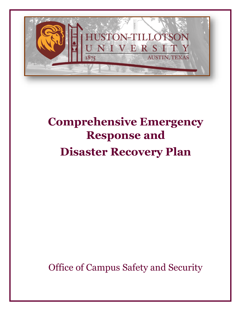

# **Comprehensive Emergency Response and Disaster Recovery Plan**

Office of Campus Safety and Security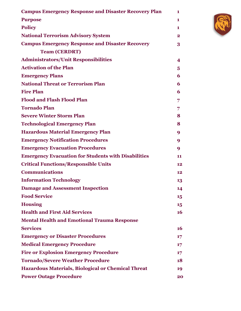| <b>Campus Emergency Response and Disaster Recovery Plan</b> | 1            |
|-------------------------------------------------------------|--------------|
| <b>Purpose</b>                                              | 1            |
| <b>Policy</b>                                               | 1            |
| <b>National Terrorism Advisory System</b>                   | $\mathbf{2}$ |
| <b>Campus Emergency Response and Disaster Recovery</b>      | 3            |
| <b>Team (CERDRT)</b>                                        |              |
| <b>Administrators/Unit Responsibilities</b>                 | 4            |
| <b>Activation of the Plan</b>                               | 5            |
| <b>Emergency Plans</b>                                      | 6            |
| <b>National Threat or Terrorism Plan</b>                    | 6            |
| <b>Fire Plan</b>                                            | 6            |
| <b>Flood and Flash Flood Plan</b>                           | 7            |
| <b>Tornado Plan</b>                                         | 7            |
| <b>Severe Winter Storm Plan</b>                             | 8            |
| <b>Technological Emergency Plan</b>                         | 8            |
| <b>Hazardous Material Emergency Plan</b>                    | 9            |
| <b>Emergency Notification Procedures</b>                    | 9            |
| <b>Emergency Evacuation Procedures</b>                      | 9            |
| <b>Emergency Evacuation for Students with Disabilities</b>  | 11           |
| <b>Critical Functions/Responsible Units</b>                 | 12           |
| <b>Communications</b>                                       | 12           |
| <b>Information Technology</b>                               | 13           |
| <b>Damage and Assessment Inspection</b>                     | 14           |
| <b>Food Service</b>                                         | 15           |
| <b>Housing</b>                                              | 15           |
| <b>Health and First Aid Services</b>                        | <b>16</b>    |
| <b>Mental Health and Emotional Trauma Response</b>          |              |
| <b>Services</b>                                             | <b>16</b>    |
| <b>Emergency or Disaster Procedures</b>                     | $17 \,$      |
| <b>Medical Emergency Procedure</b>                          | $17 \,$      |
| <b>Fire or Explosion Emergency Procedure</b>                | $17 \,$      |
| <b>Tornado/Severe Weather Procedure</b>                     | 18           |
| <b>Hazardous Materials, Biological or Chemical Threat</b>   | 19           |
| <b>Power Outage Procedure</b>                               | 20           |

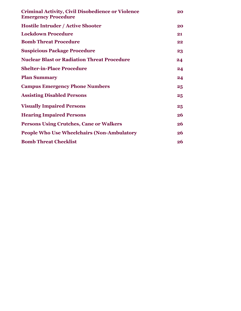| <b>Criminal Activity, Civil Disobedience or Violence</b><br><b>Emergency Procedure</b> | 20              |
|----------------------------------------------------------------------------------------|-----------------|
| <b>Hostile Intruder / Active Shooter</b>                                               | 20              |
| <b>Lockdown Procedure</b>                                                              | 21              |
| <b>Bomb Threat Procedure</b>                                                           | 22              |
| <b>Suspicious Package Procedure</b>                                                    | 23              |
| <b>Nuclear Blast or Radiation Threat Procedure</b>                                     | 24              |
| <b>Shelter-in-Place Procedure</b>                                                      | 24              |
| <b>Plan Summary</b>                                                                    | 24              |
| <b>Campus Emergency Phone Numbers</b>                                                  | 25              |
| <b>Assisting Disabled Persons</b>                                                      | $25\phantom{.}$ |
| <b>Visually Impaired Persons</b>                                                       | 25              |
| <b>Hearing Impaired Persons</b>                                                        | 26              |
| <b>Persons Using Crutches, Cane or Walkers</b>                                         | 26              |
| <b>People Who Use Wheelchairs (Non-Ambulatory</b>                                      | 26              |
| <b>Bomb Threat Checklist</b>                                                           | 26              |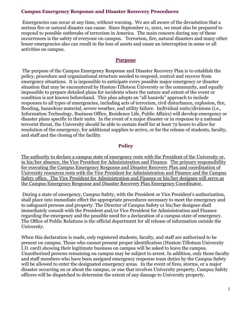#### **Campus Emergency Response and Disaster Recovery Procedures**

Emergencies can occur at any time, without warning. We are all aware of the devastation that a serious fire or natural disaster can cause. Since September 11, 2001, we must also be prepared to respond to possible outbreaks of terrorism in America. The main concern during any of these occurrences is the safety of everyone on campus. Terrorism, fire, natural disasters and many other lesser emergencies also can result in the loss of assets and cause an interruption in some or all activities on campus.

#### **Purpose**

The purpose of the Campus Emergency Response and Disaster Recovery Plan is to establish the policy, procedure and organizational structure needed to respond, control and recover from emergency situations. It is impossible to anticipate every possible major emergency or disaster situation that may be encountered by Huston-Tillotson University or the community, and equally impossible to prepare detailed plans for incidents where the nature and extent of the event or condition is not known beforehand. This plan adopts an "all hazards" approach to include responses to all types of emergencies, including acts of terrorism, civil disturbance, explosion, fire, flooding, hazardous material, severe weather, and utility failure. Individual units/divisions (i.e., Information Technology, Business Office, Residence Life, Public Affairs) will develop emergency or disaster plans specific to their units. In the event of a major disaster or in response to a national terrorist threat, the University should be able to sustain itself for at least 72 hours to allow for resolution of the emergency, for additional supplies to arrive, or for the release of students, faculty, and staff and the closing of the facility.

#### **Policy**

The authority to declare a campus state of emergency rests with the President of the University or, in his/her absence, the Vice President for Administration and Finance. The primary responsibility for executing the Campus Emergency Response and Disaster Recovery Plan and coordination of University resources rests with the Vice President for Administration and Finance and the Campus Safety office. The Vice President for Administration and Finance or his/her designee will serve as the Campus Emergency Response and Disaster Recovery Plan Emergency Coordinator.

During a state of emergency, Campus Safety, with the President or Vice President's authorization, shall place into immediate effect the appropriate procedures necessary to meet the emergency and to safeguard persons and property. The Director of Campus Safety or his/her designee shall immediately consult with the President and/or Vice President for Administration and Finance regarding the emergency and the possible need for a declaration of a campus state of emergency. The Office of Public Relations is the official department for all release of information outside the University.

When this declaration is made, only registered students, faculty, and staff are authorized to be present on campus. Those who cannot present proper identification (Huston-Tillotson University I.D. card) showing their legitimate business on campus will be asked to leave the campus. Unauthorized persons remaining on campus may be subject to arrest. In addition, only those faculty and staff members who have been assigned emergency response team duties by the Campus Safety will be allowed to enter the designated emergency areas. In the event of fires, storms, or a major disaster occurring on or about the campus, or one that involves University property, Campus Safety officers will be dispatched to determine the extent of any damage to University property.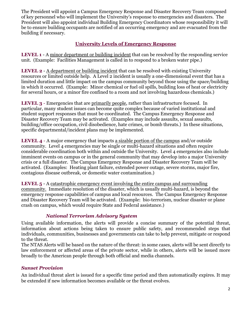The President will appoint a Campus Emergency Response and Disaster Recovery Team composed of key personnel who will implement the University's response to emergencies and disasters. The President will also appoint individual Building Emergency Coordinators whose responsibility it will be to ensure building occupants are notified of an occurring emergency and are evacuated from the building if necessary.

# **University Levels of Emergency Response**

**LEVEL 1** - A minor department or building incident that can be resolved by the responding service unit. (Example: Facilities Management is called in to respond to a broken water pipe.)

**LEVEL 2** - A department or building incident that can be resolved with existing University resources or limited outside help. A Level 2 incident is usually a one-dimensional event that has a limited duration and little impact on the campus community beyond those using the space/building in which it occurred. (Example: Minor chemical or fuel oil spills, building loss of heat or electricity for several hours, or a minor fire confined to a room and not involving hazardous chemicals.)

**LEVEL 3** - Emergencies that are primarily people, rather than infrastructure focused. In particular, many student issues can become quite complex because of varied institutional and student support responses that must be coordinated. The Campus Emergency Response and Disaster Recovery Team may be activated. (Examples may include assaults, sexual assaults, building/office occupation, civil disobedience, hate crimes, or bomb threats.) In these situations, specific departmental/incident plans may be implemented.

**LEVEL 4** - A major emergency that impacts a sizable portion of the campus and/or outside community. Level 4 emergencies may be single or multi-hazard situations and often require considerable coordination both within and outside the University. Level 4 emergencies also include imminent events on campus or in the general community that may develop into a major University crisis or a full disaster. The Campus Emergency Response and Disaster Recovery Team will be activated. (Examples: Heating plant failure, extended power outage, severe storms, major fire, contagious disease outbreak, or domestic water contamination.)

**LEVEL 5** - A catastrophic emergency event involving the entire campus and surrounding community. Immediate resolution of the disaster, which is usually multi-hazard, is beyond the emergency response capabilities of campus and local resources. The Campus Emergency Response and Disaster Recovery Team will be activated. (Example: bio-terrorism, nuclear disaster or plane crash on campus, which would require State and Federal assistance.)

# *National Terrorism Advisory System*

Using available information, the alerts will provide a concise summary of the potential threat, information about actions being taken to ensure public safety, and recommended steps that individuals, communities, businesses and governments can take to help prevent, mitigate or respond to the threat.

The NTAS Alerts will be based on the nature of the threat: in some cases, alerts will be sent directly to law enforcement or affected areas of the private sector, while in others, alerts will be issued more broadly to the American people through both official and media channels.

# *Sunset Provision*

An individual threat alert is issued for a specific time period and then automatically expires. It may be extended if new information becomes available or the threat evolves.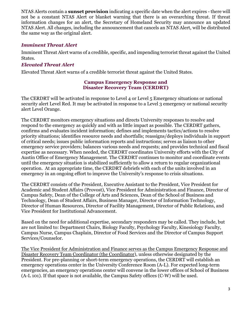NTAS Alerts contain a **sunset provision** indicating a specific date when the alert expires - there will not be a constant NTAS Alert or blanket warning that there is an overarching threat. If threat information changes for an alert, the Secretary of Homeland Security may announce an updated NTAS Alert. All changes, including the announcement that cancels an NTAS Alert, will be distributed the same way as the original alert.

## *Imminent Threat Alert*

Imminent Threat Alert warns of a credible, specific, and impending terrorist threat against the United States.

## *Elevated Threat Alert*

Elevated Threat Alert warns of a credible terrorist threat against the United States.

#### **Campus Emergency Response and Disaster Recovery Team (CERDRT)**

The CERDRT will be activated in response to Level 4 or Level 5 Emergency situations or national security alert Level Red. It may be activated in response to a Level 3 emergency or national security alert Level Orange.

The CERDRT monitors emergency situations and directs University responses to resolve and respond to the emergency as quickly and with as little impact as possible. The CERDRT gathers, confirms and evaluates incident information; defines and implements tactics/actions to resolve priority situations; identifies resource needs and shortfalls; reassigns/deploys individuals in support of critical needs; issues public information reports and instructions; serves as liaison to other emergency service providers; balances various needs and requests; and provides technical and fiscal expertise as necessary. When needed, the CERDRT coordinates University efforts with the City of Austin Office of Emergency Management. The CERDRT continues to monitor and coordinate events until the emergency situation is stabilized sufficiently to allow a return to regular organizational operation. At an appropriate time, the CERDRT debriefs with each of the units involved in an emergency in an ongoing effort to improve the University's response to crisis situations.

The CERDRT consists of the President, Executive Assistant to the President, Vice President for Academic and Student Affairs (Provost), Vice President for Administration and Finance, Director of Campus Safety, Dean of the College of Arts and Sciences, Dean of the School of Business and Technology, Dean of Student Affairs, Business Manager, Director of Information Technology, Director of Human Resources, Director of Facility Management, Director of Public Relations, and Vice President for Institutional Advancement.

Based on the need for additional expertise, secondary responders may be called. They include, but are not limited to: Department Chairs, Biology Faculty, Psychology Faculty, Kinesiology Faculty, Campus Nurse, Campus Chaplain, Director of Food Services and the Director of Campus Support Services/Counselor.

The Vice President for Administration and Finance serves as the Campus Emergency Response and Disaster Recovery Team Coordinator (the Coordinator), unless otherwise designated by the President. For pre-planning or short-term emergency operations, the CERDRT will establish an emergency operations center in the University Conference Room (A-L). For expected long-term emergencies, an emergency operations center will convene in the lower offices of School of Business (A-L 101). If that space is not available, the Campus Safety offices (C-W) will be used.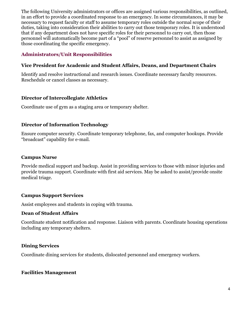The following University administrators or offices are assigned various responsibilities, as outlined, in an effort to provide a coordinated response to an emergency. In some circumstances, it may be necessary to request faculty or staff to assume temporary roles outside the normal scope of their duties, taking into consideration their abilities to carry out those temporary roles. It is understood that if any department does not have specific roles for their personnel to carry out, then those personnel will automatically become part of a "pool" of reserve personnel to assist as assigned by those coordinating the specific emergency.

## **Administrators/Unit Responsibilities**

## **Vice President for Academic and Student Affairs, Deans, and Department Chairs**

Identify and resolve instructional and research issues. Coordinate necessary faculty resources. Reschedule or cancel classes as necessary.

## **Director of Intercollegiate Athletics**

Coordinate use of gym as a staging area or temporary shelter.

## **Director of Information Technology**

Ensure computer security. Coordinate temporary telephone, fax, and computer hookups. Provide "broadcast" capability for e-mail.

#### **Campus Nurse**

Provide medical support and backup. Assist in providing services to those with minor injuries and provide trauma support. Coordinate with first aid services. May be asked to assist/provide onsite medical triage.

#### **Campus Support Services**

Assist employees and students in coping with trauma.

#### **Dean of Student Affairs**

Coordinate student notification and response. Liaison with parents. Coordinate housing operations including any temporary shelters.

#### **Dining Services**

Coordinate dining services for students, dislocated personnel and emergency workers.

#### **Facilities Management**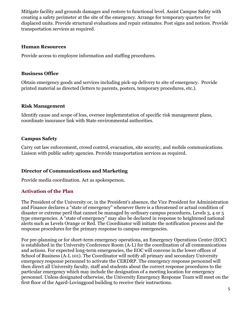Mitigate facility and grounds damages and restore to functional level. Assist Campus Safety with creating a safety perimeter at the site of the emergency. Arrange for temporary quarters for displaced units. Provide structural evaluations and repair estimates. Post signs and notices. Provide transportation services as required.

#### **Human Resources**

Provide access to employee information and staffing procedures.

#### **Business Office**

Obtain emergency goods and services including pick-up delivery to site of emergency. Provide printed material as directed (letters to parents, posters, temporary procedures, etc.).

#### **Risk Management**

Identify cause and scope of loss, oversee implementation of specific risk management plans, coordinate insurance link with State environmental authorities.

#### **Campus Safety**

Carry out law enforcement, crowd control, evacuation, site security, and mobile communications. Liaison with public safety agencies. Provide transportation services as required.

#### **Director of Communications and Marketing**

Provide media coordination. Act as spokesperson.

# **Activation of the Plan**

The President of the University or, in the President's absence, the Vice President for Administration and Finance declares a "state of emergency" whenever there is a threatened or actual condition of disaster or extreme peril that cannot be managed by ordinary campus procedures, Levels 3, 4 or 5 type emergencies. A "state of emergency" may also be declared in response to heightened national alerts such as Levels Orange or Red. The Coordinator will initiate the notification process and the response procedures for the primary response to campus emergencies.

For pre-planning or for short-term emergency operations, an Emergency Operations Center (EOC) is established in the University Conference Room (A-L) for the coordination of all communications and actions. For expected long-term emergencies, the EOC will convene in the lower offices of School of Business (A-L 101). The Coordinator will notify all primary and secondary University emergency response personnel to activate the CERDRP. The emergency response personnel will then direct all University faculty, staff and students about the correct response procedures to the particular emergency which may include the designation of a meeting location for emergency personnel. Unless designated otherwise, the University Emergency Response Team will meet on the first floor of the Agard-Lovinggood building to receive their instructions.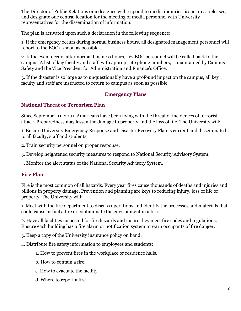The Director of Public Relations or a designee will respond to media inquiries, issue press releases, and designate one central location for the meeting of media personnel with University representatives for the dissemination of information.

The plan is activated upon such a declaration in the following sequence:

1. If the emergency occurs during normal business hours, all designated management personnel will report to the EOC as soon as possible.

2. If the event occurs after normal business hours, key EOC personnel will be called back to the campus. A list of key faculty and staff, with appropriate phone numbers, is maintained by Campus Safety and the Vice President for Administration and Finance's Office.

3. If the disaster is so large as to unquestionably have a profound impact on the campus, all key faculty and staff are instructed to return to campus as soon as possible.

# **Emergency Plans**

# **National Threat or Terrorism Plan**

Since September 11, 2001, Americans have been living with the threat of incidences of terrorist attack. Preparedness may lessen the damage to property and the loss of life. The University will:

1. Ensure University Emergency Response and Disaster Recovery Plan is current and disseminated to all faculty, staff and students.

2. Train security personnel on proper response.

3. Develop heightened security measures to respond to National Security Advisory System.

4. Monitor the alert status of the National Security Advisory System.

# **Fire Plan**

Fire is the most common of all hazards. Every year fires cause thousands of deaths and injuries and billions in property damage. Prevention and planning are keys to reducing injury, loss of life or property. The University will:

1. Meet with the fire department to discuss operations and identify the processes and materials that could cause or fuel a fire or contaminate the environment in a fire.

2. Have all facilities inspected for fire hazards and insure they meet fire codes and regulations. Ensure each building has a fire alarm or notification system to warn occupants of fire danger.

3. Keep a copy of the University insurance policy on hand.

4. Distribute fire safety information to employees and students:

- a. How to prevent fires in the workplace or residence halls.
- b. How to contain a fire.
- c. How to evacuate the facility.
- d. Where to report a fire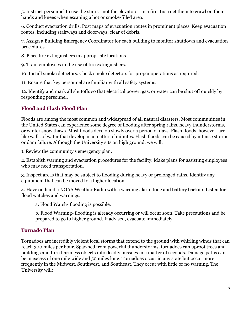5. Instruct personnel to use the stairs - not the elevators - in a fire. Instruct them to crawl on their hands and knees when escaping a hot or smoke-filled area.

6. Conduct evacuation drills. Post maps of evacuation routes in prominent places. Keep evacuation routes, including stairways and doorways, clear of debris.

7. Assign a Building Emergency Coordinator for each building to monitor shutdown and evacuation procedures.

8. Place fire extinguishers in appropriate locations.

9. Train employees in the use of fire extinguishers.

10. Install smoke detectors. Check smoke detectors for proper operations as required.

11. Ensure that key personnel are familiar with all safety systems.

12. Identify and mark all shutoffs so that electrical power, gas, or water can be shut off quickly by responding personnel.

# **Flood and Flash Flood Plan**

Floods are among the most common and widespread of all natural disasters. Most communities in the United States can experience some degree of flooding after spring rains, heavy thunderstorms, or winter snow thaws. Most floods develop slowly over a period of days. Flash floods, however, are like walls of water that develop in a matter of minutes. Flash floods can be caused by intense storms or dam failure. Although the University sits on high ground, we will:

1. Review the community's emergency plan.

2. Establish warning and evacuation procedures for the facility. Make plans for assisting employees who may need transportation.

3. Inspect areas that may be subject to flooding during heavy or prolonged rains. Identify any equipment that can be moved to a higher location.

4. Have on hand a NOAA Weather Radio with a warning alarm tone and battery backup. Listen for flood watches and warnings.

a. Flood Watch- flooding is possible.

b. Flood Warning- flooding is already occurring or will occur soon. Take precautions and be prepared to go to higher ground. If advised, evacuate immediately.

# **Tornado Plan**

Tornadoes are incredibly violent local storms that extend to the ground with whirling winds that can reach 300 miles per hour. Spawned from powerful thunderstorms, tornadoes can uproot trees and buildings and turn harmless objects into deadly missiles in a matter of seconds. Damage paths can be in excess of one mile wide and 50 miles long. Tornadoes occur in any state but occur more frequently in the Midwest, Southwest, and Southeast. They occur with little or no warning. The University will: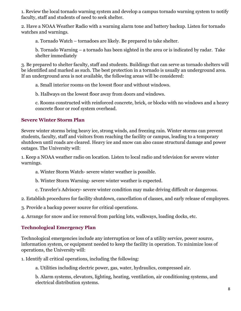1. Review the local tornado warning system and develop a campus tornado warning system to notify faculty, staff and students of need to seek shelter.

2. Have a NOAA Weather Radio with a warning alarm tone and battery backup. Listen for tornado watches and warnings.

a. Tornado Watch – tornadoes are likely. Be prepared to take shelter.

b. Tornado Warning – a tornado has been sighted in the area or is indicated by radar. Take shelter immediately

3. Be prepared to shelter faculty, staff and students. Buildings that can serve as tornado shelters will be identified and marked as such. The best protection in a tornado is usually an underground area. If an underground area is not available, the following areas will be considered:

a. Small interior rooms on the lowest floor and without windows.

b. Hallways on the lowest floor away from doors and windows.

c. Rooms constructed with reinforced concrete, brick, or blocks with no windows and a heavy concrete floor or roof system overhead.

# **Severe Winter Storm Plan**

Severe winter storms bring heavy ice, strong winds, and freezing rain. Winter storms can prevent students, faculty, staff and visitors from reaching the facility or campus, leading to a temporary shutdown until roads are cleared. Heavy ice and snow can also cause structural damage and power outages. The University will:

1. Keep a NOAA weather radio on location. Listen to local radio and television for severe winter warnings.

a. Winter Storm Watch- severe winter weather is possible.

b. Winter Storm Warning- severe winter weather is expected.

c. Traveler's Advisory- severe winter condition may make driving difficult or dangerous.

2. Establish procedures for facility shutdown, cancellation of classes, and early release of employees.

3. Provide a backup power source for critical operations.

4. Arrange for snow and ice removal from parking lots, walkways, loading docks, etc.

# **Technological Emergency Plan**

Technological emergencies include any interruption or loss of a utility service, power source, information system, or equipment needed to keep the facility in operation. To minimize loss of operations, the University will:

1. Identify all critical operations, including the following:

a. Utilities including electric power, gas, water, hydraulics, compressed air.

b. Alarm systems, elevators, lighting, heating, ventilation, air conditioning systems, and electrical distribution systems.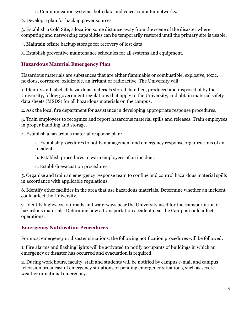- c. Communication systems, both data and voice computer networks.
- 2. Develop a plan for backup power sources.

3. Establish a Cold Site, a location some distance away from the scene of the disaster where computing and networking capabilities can be temporarily restored until the primary site is usable.

4. Maintain offsite backup storage for recovery of lost data.

5. Establish preventive maintenance schedules for all systems and equipment.

# **Hazardous Material Emergency Plan**

Hazardous materials are substances that are either flammable or combustible, explosive, toxic, noxious, corrosive, oxidizable, an irritant or radioactive. The University will:

1. Identify and label all hazardous materials stored, handled, produced and disposed of by the University, follow government regulations that apply to the University, and obtain material safety data sheets (MSDS) for all hazardous materials on the campus.

2. Ask the local fire department for assistance in developing appropriate response procedures.

3. Train employees to recognize and report hazardous material spills and releases. Train employees in proper handling and storage.

4. Establish a hazardous material response plan:

a. Establish procedures to notify management and emergency response organizations of an incident.

b. Establish procedures to warn employees of an incident.

c. Establish evacuation procedures.

5. Organize and train an emergency response team to confine and control hazardous material spills in accordance with applicable regulations.

6. Identify other facilities in the area that use hazardous materials. Determine whether an incident could affect the University.

7. Identify highways, railroads and waterways near the University used for the transportation of hazardous materials. Determine how a transportation accident near the Campus could affect operations.

# **Emergency Notification Procedures**

For most emergency or disaster situations, the following notification procedures will be followed:

1. Fire alarms and flashing lights will be activated to notify occupants of buildings in which an emergency or disaster has occurred and evacuation is required.

2. During work hours, faculty, staff and students will be notified by campus e-mail and campus television broadcast of emergency situations or pending emergency situations, such as severe weather or national emergency.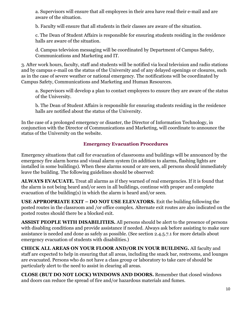a. Supervisors will ensure that all employees in their area have read their e-mail and are aware of the situation.

b. Faculty will ensure that all students in their classes are aware of the situation.

c. The Dean of Student Affairs is responsible for ensuring students residing in the residence halls are aware of the situation.

d. Campus television messaging will be coordinated by Department of Campus Safety, Communications and Marketing and IT.

3. After work hours, faculty, staff and students will be notified via local television and radio stations and by campus e-mail on the status of the University and of any delayed openings or closures, such as in the case of severe weather or national emergency. The notifications will be coordinated by Campus Safety, Communications and Marketing and Human Resources.

a. Supervisors will develop a plan to contact employees to ensure they are aware of the status of the University.

b. The Dean of Student Affairs is responsible for ensuring students residing in the residence halls are notified about the status of the University.

In the case of a prolonged emergency or disaster, the Director of Information Technology, in conjunction with the Director of Communications and Marketing, will coordinate to announce the status of the University on the website.

# **Emergency Evacuation Procedures**

Emergency situations that call for evacuation of classrooms and buildings will be announced by the emergency fire alarm horns and visual alarm system (in addition to alarms, flashing lights are installed in some buildings). When these alarms sound or are seen, all persons should immediately leave the building. The following guidelines should be observed:

**ALWAYS EVACUATE.** Treat all alarms as if they warned of real emergencies. If it is found that the alarm is not being heard and/or seen in all buildings, continue with proper and complete evacuation of the building(s) in which the alarm is heard and/or seen.

**USE APPROPRIATE EXIT – DO NOT USE ELEVATORS.** Exit the building following the posted routes in the classroom and /or office complex. Alternate exit routes are also indicated on the posted routes should there be a blocked exit.

**ASSIST PEOPLE WITH DISABILITIES.** All persons should be alert to the presence of persons with disabling conditions and provide assistance if needed. Always ask before assisting to make sure assistance is needed and done as safely as possible. (See section 2.4.5.7.1 for more details about emergency evacuation of students with disabilities.)

**CHECK ALL AREAS ON YOUR FLOOR AND/OR IN YOUR BUILDING.** All faculty and staff are expected to help in ensuring that all areas, including the snack bar, restrooms, and lounges are evacuated. Persons who do not have a class group or laboratory to take care of should be particularly alert to the need to assist in clearing all areas.

**CLOSE (BUT DO NOT LOCK) WINDOWS AND DOORS.** Remember that closed windows and doors can reduce the spread of fire and/or hazardous materials and fumes.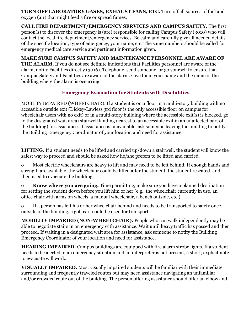**TURN OFF LABORATORY GASES, EXHAUST FANS, ETC.** Turn off all sources of fuel and oxygen (air) that might feed a fire or spread fumes.

**CALL FIRE DEPARTMENT/EMERGENCY SERVICES AND CAMPUS SAFETY.** The first person(s) to discover the emergency is (are) responsible for calling Campus Safety (3010) who will contact the local fire department/emergency services. Be calm and carefully give all needed details of the specific location, type of emergency, your name, etc. The same numbers should be called for emergency medical care service and pertinent information given.

**MAKE SURE CAMPUS SAFETY AND MAINTENANCE PERSONNEL ARE AWARE OF THE ALARM.** If you do not see definite indications that Facilities personnel are aware of the alarm, notify Facilities directly (3016). Telephone, send someone, or go yourself to ensure that Campus Safety and Facilities are aware of the alarm. Give them your name and the name of the building where the alarm is occurring.

# **Emergency Evacuation for Students with Disabilities**

MOBIITY IMPAIRED (WHEELCHAIR). If a student is on a floor in a multi-story building with no accessible outside exit (Dickey-Lawless 3rd floor is the only accessible floor on campus for wheelchair users with no exit) or in a multi-story building where the accessible exit(s) is blocked, go to the designated wait area (stairwell landing nearest to an accessible exit in an unaffected part of the building) for assistance. If assistance is unavailable, ask someone leaving the building to notify the Building Emergency Coordinator of your location and need for assistance.

**LIFTING.** If a student needs to be lifted and carried up/down a stairwell, the student will know the safest way to proceed and should be asked how he/she prefers to be lifted and carried.

o Most electric wheelchairs are heavy to lift and may need to be left behind. If enough hands and strength are available, the wheelchair could be lifted after the student, the student reseated, and then used to evacuate the building.

o **Know where you are going.** Time permitting, make sure you have a planned destination for setting the student down before you lift him or her (e.g., the wheelchair currently in use, an office chair with arms on wheels, a manual wheelchair, a bench outside, etc.).

o If a person has left his or her wheelchair behind and needs to be transported to safety once outside of the building, a golf cart could be used for transport.

**MOBILITY IMPARIED (NON-WHEELCHAIR).** People who can walk independently may be able to negotiate stairs in an emergency with assistance. Wait until heavy traffic has passed and then proceed. If waiting in a designated wait area for assistance, ask someone to notify the Building Emergency Coordinator of your location and need for assistance.

**HEARING IMPAIRED.** Campus buildings are equipped with fire alarm strobe lights. If a student needs to be alerted of an emergency situation and an interpreter is not present, a short, explicit note to evacuate will work.

**VISUALLY IMPAIRED.** Most visually impaired students will be familiar with their immediate surrounding and frequently traveled routes but may need assistance navigating an unfamiliar and/or crowded route out of the building. The person offering assistance should offer an elbow and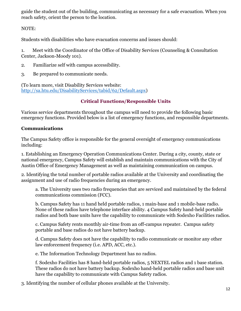guide the student out of the building, communicating as necessary for a safe evacuation. When you reach safety, orient the person to the location.

NOTE:

Students with disabilities who have evacuation concerns and issues should:

1. Meet with the Coordinator of the Office of Disability Services (Counseling & Consultation Center, Jackson-Moody 101).

- 2. Familiarize self with campus accessibility.
- 3. Be prepared to communicate needs.

(To learn more, visit Disability Services website: [http://sa.htu.edu/DisabilityServices/tabid/62/Default.aspx\)](http://sa.htu.edu/DisabilityServices/tabid/62/Default.aspx)

# **Critical Functions/Responsible Units**

Various service departments throughout the campus will need to provide the following basic emergency functions. Provided below is a list of emergency functions, and responsible departments.

# **Communications**

The Campus Safety office is responsible for the general oversight of emergency communications including:

1. Establishing an Emergency Operation Communications Center. During a city, county, state or national emergency, Campus Safety will establish and maintain communications with the City of Austin Office of Emergency Management as well as maintaining communication on campus.

2. Identifying the total number of portable radios available at the University and coordinating the assignment and use of radio frequencies during an emergency.

a. The University uses two radio frequencies that are serviced and maintained by the federal communications commission (FCC).

b. Campus Safety has 11 hand held portable radios, 1 main-base and 1 mobile-base radio. None of these radios have telephone interface ability. 4 Campus Safety hand-held portable radios and both base units have the capability to communicate with Sodexho Facilities radios.

c. Campus Safety rents monthly air-time from an off-campus repeater. Campus safety portable and base radios do not have battery backup.

d. Campus Safety does not have the capability to radio communicate or monitor any other law enforcement frequency (i.e. APD, ACC, etc.).

e. The Information Technology Department has no radios.

f. Sodexho Facilities has 8 hand-held portable radios, 5 NEXTEL radios and 1 base station. These radios do not have battery backup. Sodexho hand-held portable radios and base unit have the capability to communicate with Campus Safety radios.

3. Identifying the number of cellular phones available at the University.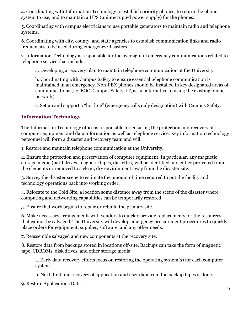4. Coordinating with Information Technology to establish priority phones, to return the phone system to use, and to maintain a UPS (uninterrupted power supply) for the phones.

5. Coordinating with campus electricians to use portable generators to maintain radio and telephone systems.

6. Coordinating with city, county, and state agencies to establish communication links and radio frequencies to be used during emergency/disasters.

7. Information Technology is responsible for the oversight of emergency communications related to telephone service that include:

a. Developing a recovery plan to maintain telephone communication at the University.

b. Coordinating with Campus Safety to ensure essential telephone communication is maintained in an emergency. Non-PBX phones should be installed in key designated areas of communications (i.e. EOC, Campus Safety, IT, as an alternative to using the existing phone network).

c. Set up and support a "hot line" (emergency calls only designation) with Campus Safety.

## **Information Technology**

The Information Technology office is responsible for ensuring the protection and recovery of computer equipment and data information as well as telephone service. Key information technology personnel will form a disaster and recovery team and will:

1. Restore and maintain telephone communication at the University.

2. Ensure the protection and preservation of computer equipment. In particular, any magnetic storage media (hard drives, magnetic tapes, diskettes) will be identified and either protected from the elements or removed to a clean, dry environment away from the disaster site.

3. Survey the disaster scene to estimate the amount of time required to put the facility and technology operations back into working order.

4. Relocate to the Cold Site, a location some distance away from the scene of the disaster where computing and networking capabilities can be temporarily restored.

5. Ensure that work begins to repair or rebuild the primary site.

6. Make necessary arrangements with vendors to quickly provide replacements for the resources that cannot be salvaged. The University will develop emergency procurement procedures to quickly place orders for equipment, supplies, software, and any other needs.

7. Reassemble salvaged and new components at the recovery site.

8. Restore data from backups stored in locations off-site. Backups can take the form of magnetic tape, CDROMs, disk drives, and other storage media.

a. Early data recovery efforts focus on restoring the operating system(s) for each computer system.

b. Next, first line recovery of application and user data from the backup tapes is done.

9. Restore Applications Data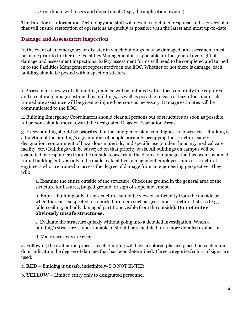a. Coordinate with users and departments (e.g., the application owners).

The Director of Information Technology and staff will develop a detailed response and recovery plan that will ensure restoration of operations as quickly as possible with the latest and most up-to-date

# **Damage and Assessment Inspection**

In the event of an emergency or disaster in which buildings may be damaged; an assessment must be made prior to further use. Facilities Management is responsible for the general oversight of damage and assessment inspections. Safety assessment forms will need to be completed and turned in to the Facilities Management representative in the EOC. Whether or not there is damage, each building should be posted with inspection stickers.

1. Assessment surveys of all building damage will be initiated with a focus on utility line ruptures and structural damage sustained by buildings, as well as possible release of hazardous materials. Immediate assistance will be given to injured persons as necessary. Damage estimates will be communicated to the EOC.

2. Building Emergency Coordinators should clear all persons out of structures as soon as possible. All persons should move toward the designated Disaster Evacuation Areas.

3. Every building should be prioritized in the emergency plan from highest to lowest risk. Ranking is a function of the building's age, number of people normally occupying the structure, safety designation, containment of hazardous materials, and specific use (student housing, medical care facility, etc.) Buildings will be surveyed on that priority basis. All buildings on campus will be evaluated by responders from the outside to ascertain the degree of damage that has been sustained. Initial building entry is only to be made by facilities management employees and/or structural engineers who are trained to assess the degree of damage from an engineering perspective. They will:

a. Examine the entire outside of the structure. Check the ground in the general area of the structure for fissures, bulged ground, or sign of slope movement.

b. Enter a building only if the structure cannot be viewed sufficiently from the outside or when there is a suspected or reported problem such as gross non-structure distress (e.g., fallen ceiling, or badly damaged partitions visible from the outside). **Do not enter obviously unsafe structures.**

c. Evaluate the structure quickly without going into a detailed investigation. When a building's structure is questionable, it should be scheduled for a more detailed evaluation.

d. Make sure exits are clear.

4. Following the evaluation process, each building will have a colored placard placed on each main door indicating the degree of damage that has been determined. Three categories/colors of signs are used:

a. **RED** – Building is unsafe, indefinitely- DO NOT ENTER

b. **YELLOW** – Limited entry only to designated personnel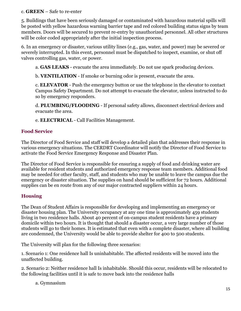## c. **GREEN** – Safe to re-enter

5. Buildings that have been seriously damaged or contaminated with hazardous material spills will be posted with yellow hazardous warning barrier tape and red colored building status signs by team members. Doors will be secured to prevent re-entry by unauthorized personnel. All other structures will be color coded appropriately after the initial inspection process.

6. In an emergency or disaster, various utility lines (e.g., gas, water, and power) may be severed or severely interrupted. In this event, personnel must be dispatched to inspect, examine, or shut off valves controlling gas, water, or power.

a. **GAS LEAKS** - evacuate the area immediately. Do not use spark producing devices.

b. **VENTILATION** - If smoke or burning odor is present, evacuate the area.

c. **ELEVATOR** - Push the emergency button or use the telephone in the elevator to contact Campus Safety Department. Do not attempt to evacuate the elevator, unless instructed to do so by emergency responders.

d. **PLUMBING/FLOODING** - If personal safety allows, disconnect electrical devices and evacuate the area.

e. **ELECTRICAL** - Call Facilities Management.

# **Food Service**

The Director of Food Service and staff will develop a detailed plan that addresses their response in various emergency situations. The CERDRT Coordinator will notify the Director of Food Service to activate the Food Service Emergency Response and Disaster Plan.

The Director of Food Service is responsible for ensuring a supply of food and drinking water are available for resident students and authorized emergency response team members. Additional food may be needed for other faculty, staff, and students who may be unable to leave the campus due the emergency or disaster situation. The supplies on hand should be sufficient for 72 hours. Additional supplies can be en route from any of our major contracted suppliers within 24 hours.

# **Housing**

The Dean of Student Affairs is responsible for developing and implementing an emergency or disaster housing plan. The University occupancy at any one time is approximately 459 students living in two residence halls. About 40 percent of on-campus student residents have a primary domicile within two hours. It is thought that should a disaster occur, a very large number of those students will go to their homes. It is estimated that even with a complete disaster, where all building are condemned, the University would be able to provide shelter for 400 to 500 students.

The University will plan for the following three scenarios:

1. Scenario 1: One residence hall Is uninhabitable. The affected residents will be moved into the unaffected building.

2. Scenario 2: Neither residence hall Is inhabitable. Should this occur, residents will be relocated to the following facilities until it is safe to move back into the residence halls

a. Gymnasium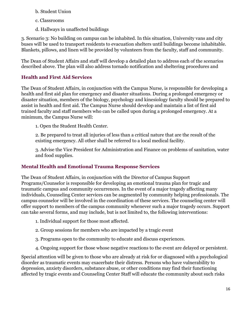- b. Student Union
- c. Classrooms
- d. Hallways in unaffected buildings

3. Scenario 3: No building on campus can be inhabited. In this situation, University vans and city buses will be used to transport residents to evacuation shelters until buildings become inhabitable. Blankets, pillows, and linen will be provided by volunteers from the faculty, staff and community.

The Dean of Student Affairs and staff will develop a detailed plan to address each of the scenarios described above. The plan will also address tornado notification and sheltering procedures and

# **Health and First Aid Services**

The Dean of Student Affairs, in conjunction with the Campus Nurse, is responsible for developing a health and first aid plan for emergency and disaster situations. During a prolonged emergency or disaster situation, members of the biology, psychology and kinesiology faculty should be prepared to assist in health and first aid. The Campus Nurse should develop and maintain a list of first aid trained faculty and staff members who can be called upon during a prolonged emergency. At a minimum, the Campus Nurse will:

1. Open the Student Health Center.

2. Be prepared to treat all injuries of less than a critical nature that are the result of the existing emergency. All other shall be referred to a local medical facility.

3. Advise the Vice President for Administration and Finance on problems of sanitation, water and food supplies.

# **Mental Health and Emotional Trauma Response Services**

The Dean of Student Affairs, in conjunction with the Director of Campus Support Programs/Counselor is responsible for developing an emotional trauma plan for tragic and traumatic campus and community occurrences. In the event of a major tragedy affecting many individuals, Counseling Center services can be augmented by community helping professionals. The campus counselor will be involved in the coordination of these services. The counseling center will offer support to members of the campus community whenever such a major tragedy occurs. Support can take several forms, and may include, but is not limited to, the following interventions:

- 1. Individual support for those most affected.
- 2. Group sessions for members who are impacted by a tragic event
- 3. Programs open to the community to educate and discuss experiences.
- 4. Ongoing support for those whose negative reactions to the event are delayed or persistent.

Special attention will be given to those who are already at risk for or diagnosed with a psychological disorder as traumatic events may exacerbate their distress. Persons who have vulnerability to depression, anxiety disorders, substance abuse, or other conditions may find their functioning affected by tragic events and Counseling Center Staff will educate the community about such risks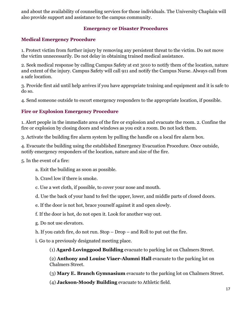and about the availability of counseling services for those individuals. The University Chaplain will also provide support and assistance to the campus community.

## **Emergency or Disaster Procedures**

## **Medical Emergency Procedure**

1. Protect victim from further injury by removing any persistent threat to the victim. Do not move the victim unnecessarily. Do not delay in obtaining trained medical assistance.

2. Seek medical response by calling Campus Safety at ext 3010 to notify them of the location, nature and extent of the injury. Campus Safety will call 911 and notify the Campus Nurse. Always call from a safe location.

3. Provide first aid until help arrives if you have appropriate training and equipment and it is safe to do so.

4. Send someone outside to escort emergency responders to the appropriate location, if possible.

## **Fire or Explosion Emergency Procedure**

1. Alert people in the immediate area of the fire or explosion and evacuate the room. 2. Confine the fire or explosion by closing doors and windows as you exit a room. Do not lock them.

3. Activate the building fire alarm system by pulling the handle on a local fire alarm box.

4. Evacuate the building using the established Emergency Evacuation Procedure. Once outside, notify emergency responders of the location, nature and size of the fire.

5. In the event of a fire:

- a. Exit the building as soon as possible.
- b. Crawl low if there is smoke.
- c. Use a wet cloth, if possible, to cover your nose and mouth.
- d. Use the back of your hand to feel the upper, lower, and middle parts of closed doors.
- e. If the door is not hot, brace yourself against it and open slowly.
- f. If the door is hot, do not open it. Look for another way out.
- g. Do not use elevators.
- h. If you catch fire, do not run. Stop Drop and Roll to put out the fire.
- i. Go to a previously designated meeting place.
	- (1) **Agard-Lovinggood Building** evacuate to parking lot on Chalmers Street.

(2) **Anthony and Louise Viaer-Alumni Hall** evacuate to the parking lot on Chalmers Street.

- (3) **Mary E. Branch Gymnasium** evacuate to the parking lot on Chalmers Street.
- (4) **Jackson-Moody Building** evacuate to Athletic field.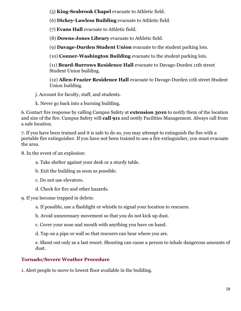(5) **King-Seabrook Chapel** evacuate to Athletic field.

(6) **Dickey-Lawless Building** evacuate to Athletic field.

(7) **Evans Hall** evacuate to Athletic field.

(8) **Downs-Jones Library** evacuate to Athletic field.

(9) **Davage-Durden Student Union** evacuate to the student parking lots.

(10) **Conner-Washington Building** evacuate to the student parking lots.

(11) **Beard-Burrows Residence Hall** evacuate to Davage-Durden 11th street Student Union building.

(12) **Allen-Frazier Residence Hall** evacuate to Davage-Durden 11th street Student Union building.

j. Account for faculty, staff, and students.

k. Never go back into a burning building.

6. Contact fire response by calling Campus Safety at **extension 3010** to notify them of the location and size of the fire. Campus Safety will **call 911** and notify Facilities Management. Always call from a safe location.

7. If you have been trained and it is safe to do so, you may attempt to extinguish the fire with a portable fire extinguisher. If you have not been trained to use a fire extinguisher, you must evacuate the area.

8. In the event of an explosion:

a. Take shelter against your desk or a sturdy table.

b. Exit the building as soon as possible.

c. Do not use elevators.

- d. Check for fire and other hazards.
- 9. If you become trapped in debris:

a. If possible, use a flashlight or whistle to signal your location to rescuers.

b. Avoid unnecessary movement so that you do not kick up dust.

c. Cover your nose and mouth with anything you have on hand.

d. Tap on a pipe or wall so that rescuers can hear where you are.

e. Shout out only as a last resort. Shouting can cause a person to inhale dangerous amounts of dust.

# **Tornado/Severe Weather Procedure**

1. Alert people to move to lowest floor available in the building.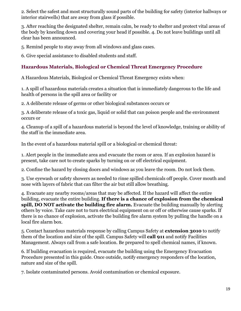2. Select the safest and most structurally sound parts of the building for safety (interior hallways or interior stairwells) that are away from glass if possible.

3. After reaching the designated shelter, remain calm, be ready to shelter and protect vital areas of the body by kneeling down and covering your head if possible. 4. Do not leave buildings until all clear has been announced.

5. Remind people to stay away from all windows and glass cases.

6. Give special assistance to disabled students and staff.

# **Hazardous Materials, Biological or Chemical Threat Emergency Procedure**

A Hazardous Materials, Biological or Chemical Threat Emergency exists when:

1. A spill of hazardous materials creates a situation that is immediately dangerous to the life and health of persons in the spill area or facility or

2. A deliberate release of germs or other biological substances occurs or

3. A deliberate release of a toxic gas, liquid or solid that can poison people and the environment occurs or

4. Cleanup of a spill of a hazardous material is beyond the level of knowledge, training or ability of the staff in the immediate area.

In the event of a hazardous material spill or a biological or chemical threat:

1. Alert people in the immediate area and evacuate the room or area. If an explosion hazard is present, take care not to create sparks by turning on or off electrical equipment.

2. Confine the hazard by closing doors and windows as you leave the room. Do not lock them.

3. Use eyewash or safety showers as needed to rinse spilled chemicals off people. Cover mouth and nose with layers of fabric that can filter the air but still allow breathing.

4. Evacuate any nearby rooms/areas that may be affected. If the hazard will affect the entire building, evacuate the entire building. **If there is a chance of explosion from the chemical spill, DO NOT activate the building fire alarm.** Evacuate the building manually by alerting others by voice. Take care not to turn electrical equipment on or off or otherwise cause sparks. If there is no chance of explosion, activate the building fire alarm system by pulling the handle on a local fire alarm box.

5. Contact hazardous materials response by calling Campus Safety at **extension 3010** to notify them of the location and size of the spill. Campus Safety will **call 911** and notify Facilities Management. Always call from a safe location. Be prepared to spell chemical names, if known.

6. If building evacuation is required, evacuate the building using the Emergency Evacuation Procedure presented in this guide. Once outside, notify emergency responders of the location, nature and size of the spill.

7. Isolate contaminated persons. Avoid contamination or chemical exposure.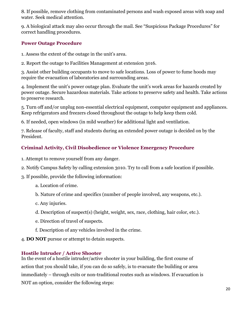8. If possible, remove clothing from contaminated persons and wash exposed areas with soap and water. Seek medical attention.

9. A biological attack may also occur through the mail. See "Suspicious Package Procedures" for correct handling procedures.

# **Power Outage Procedure**

- 1. Assess the extent of the outage in the unit's area.
- 2. Report the outage to Facilities Management at extension 3016.

3. Assist other building occupants to move to safe locations. Loss of power to fume hoods may require the evacuation of laboratories and surrounding areas.

4. Implement the unit's power outage plan. Evaluate the unit's work areas for hazards created by power outage. Secure hazardous materials. Take actions to preserve safety and health. Take actions to preserve research.

5. Turn off and/or unplug non-essential electrical equipment, computer equipment and appliances. Keep refrigerators and freezers closed throughout the outage to help keep them cold.

6. If needed, open windows (in mild weather) for additional light and ventilation.

7. Release of faculty, staff and students during an extended power outage is decided on by the President.

# **Criminal Activity, Civil Disobedience or Violence Emergency Procedure**

- 1. Attempt to remove yourself from any danger.
- 2. Notify Campus Safety by calling extension 3010. Try to call from a safe location if possible.
- 3. If possible, provide the following information:
	- a. Location of crime.
	- b. Nature of crime and specifics (number of people involved, any weapons, etc.).
	- c. Any injuries.
	- d. Description of suspect(s) (height, weight, sex, race, clothing, hair color, etc.).
	- e. Direction of travel of suspects.
	- f. Description of any vehicles involved in the crime.
- 4. **DO NOT** pursue or attempt to detain suspects.

# **Hostile Intruder / Active Shooter**

In the event of a hostile intruder/active shooter in your building, the first course of action that you should take, if you can do so safely, is to evacuate the building or area immediately – through exits or non-traditional routes such as windows. If evacuation is NOT an option, consider the following steps: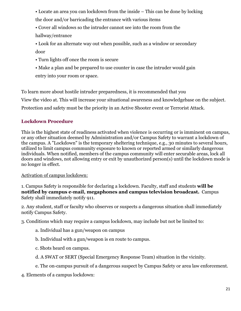- Locate an area you can lockdown from the inside This can be done by locking the door and/or barricading the entrance with various items
- Cover all windows so the intruder cannot see into the room from the hallway/entrance
- Look for an alternate way out when possible, such as a window or secondary door
- Turn lights off once the room is secure
- Make a plan and be prepared to use counter in case the intruder would gain entry into your room or space.

To learn more about hostile intruder preparedness, it is recommended that you View the video at. This will increase your situational awareness and knowledgebase on the subject. Protection and safety must be the priority in an Active Shooter event or Terrorist Attack.

# **Lockdown Procedure**

This is the highest state of readiness activated when violence is occurring or is imminent on campus, or any other situation deemed by Administration and/or Campus Safety to warrant a lockdown of the campus. A "Lockdown" is the temporary sheltering technique, e.g., 30 minutes to several hours, utilized to limit campus community exposure to known or reported armed or similarly dangerous individuals. When notified, members of the campus community will enter securable areas, lock all doors and windows, not allowing entry or exit by unauthorized person(s) until the lockdown mode is no longer in effect.

Activation of campus lockdown:

1. Campus Safety is responsible for declaring a lockdown. Faculty, staff and students **will be notified by campus e-mail, megaphones and campus television broadcast.** Campus Safety shall immediately notify 911.

2. Any student, staff or faculty who observes or suspects a dangerous situation shall immediately notify Campus Safety.

3. Conditions which may require a campus lockdown, may include but not be limited to:

- a. Individual has a gun/weapon on campus
- b. Individual with a gun/weapon is en route to campus.
- c. Shots heard on campus.
- d. A SWAT or SERT (Special Emergency Response Team) situation in the vicinity.
- e. The on-campus pursuit of a dangerous suspect by Campus Safety or area law enforcement.
- 4. Elements of a campus lockdown: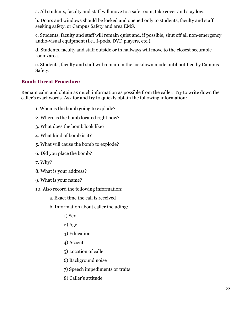a. All students, faculty and staff will move to a safe room, take cover and stay low.

b. Doors and windows should be locked and opened only to students, faculty and staff seeking safety, or Campus Safety and area EMS.

c. Students, faculty and staff will remain quiet and, if possible, shut off all non-emergency audio-visual equipment (i.e., I-pods, DVD players, etc.).

d. Students, faculty and staff outside or in hallways will move to the closest securable room/area.

e. Students, faculty and staff will remain in the lockdown mode until notified by Campus Safety.

# **Bomb Threat Procedure**

Remain calm and obtain as much information as possible from the caller. Try to write down the caller's exact words. Ask for and try to quickly obtain the following information:

- 1. When is the bomb going to explode?
- 2. Where is the bomb located right now?
- 3. What does the bomb look like?
- 4. What kind of bomb is it?
- 5. What will cause the bomb to explode?
- 6. Did you place the bomb?
- 7. Why?
- 8. What is your address?
- 9. What is your name?
- 10. Also record the following information:
	- a. Exact time the call is received
	- b. Information about caller including:
		- 1) Sex
		- 2) Age
		- 3) Education
		- 4) Accent
		- 5) Location of caller
		- 6) Background noise
		- 7) Speech impediments or traits
		- 8) Caller's attitude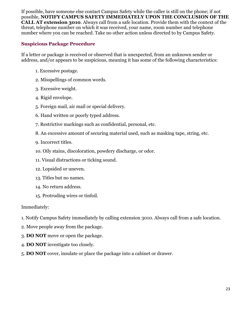If possible, have someone else contact Campus Safety while the caller is still on the phone; if not possible, **NOTIFY CAMPUS SAFETY IMMEDIATELY UPON THE CONCLUSION OF THE CALL AT extension 3010**. Always call from a safe location. Provide them with the context of the threat, telephone number on which it was received, your name, room number and telephone number where you can be reached. Take no other action unless directed to by Campus Safety.

## **Suspicious Package Procedure**

If a letter or package is received or observed that is unexpected, from an unknown sender or address, and/or appears to be suspicious, meaning it has some of the following characteristics:

- 1. Excessive postage.
- 2. Misspellings of common words.
- 3. Excessive weight.
- 4. Rigid envelope.
- 5. Foreign mail, air mail or special delivery.
- 6. Hand written or poorly typed address.
- 7. Restrictive markings such as confidential, personal, etc.
- 8. An excessive amount of securing material used, such as masking tape, string, etc.
- 9. Incorrect titles.
- 10. Oily stains, discoloration, powdery discharge, or odor.
- 11. Visual distractions or ticking sound.
- 12. Lopsided or uneven.
- 13. Titles but no names.
- 14. No return address.
- 15. Protruding wires or tinfoil.

#### Immediately:

- 1. Notify Campus Safety immediately by calling extension 3010. Always call from a safe location.
- 2. Move people away from the package.
- 3. **DO NOT** move or open the package.
- 4. **DO NOT** investigate too closely.
- 5. **DO NOT** cover, insulate or place the package into a cabinet or drawer.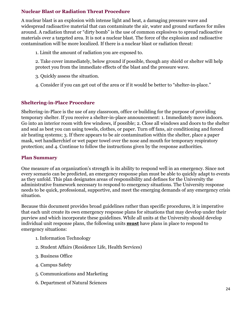# **Nuclear Blast or Radiation Threat Procedure**

A nuclear blast is an explosion with intense light and heat, a damaging pressure wave and widespread radioactive material that can contaminate the air, water and ground surfaces for miles around. A radiation threat or "dirty bomb" is the use of common explosives to spread radioactive materials over a targeted area. It is not a nuclear blast. The force of the explosion and radioactive contamination will be more localized. If there is a nuclear blast or radiation threat:

1. Limit the amount of radiation you are exposed to.

2. Take cover immediately, below ground if possible, though any shield or shelter will help protect you from the immediate effects of the blast and the pressure wave.

3. Quickly assess the situation.

4. Consider if you can get out of the area or if it would be better to "shelter-in-place."

# **Sheltering-in-Place Procedure**

Sheltering-in-Place is the use of any classroom, office or building for the purpose of providing temporary shelter. If you receive a shelter-in-place announcement: 1. Immediately move indoors. Go into an interior room with few windows, if possible; 2. Close all windows and doors to the shelter and seal as best you can using towels, clothes, or paper. Turn off fans, air conditioning and forced air heating systems; 3. If there appears to be air contamination within the shelter, place a paper mask, wet handkerchief or wet paper towel over the nose and mouth for temporary respiratory protection; and 4. Continue to follow the instructions given by the response authorities.

# **Plan Summary**

One measure of an organization's strength is its ability to respond well in an emergency. Since not every scenario can be predicted, an emergency response plan must be able to quickly adapt to events as they unfold. This plan designates areas of responsibility and defines for the University the administrative framework necessary to respond to emergency situations. The University response needs to be quick, professional, supportive, and meet the emerging demands of any emergency crisis situation.

Because this document provides broad guidelines rather than specific procedures, it is imperative that each unit create its own emergency response plans for situations that may develop under their purview and which incorporate these guidelines. While all units at the University should develop individual unit response plans, the following units **must** have plans in place to respond to emergency situations:

- 1. Information Technology
- 2. Student Affairs (Residence Life, Health Services)
- 3. Business Office
- 4. Campus Safety
- 5. Communications and Marketing
- 6. Department of Natural Sciences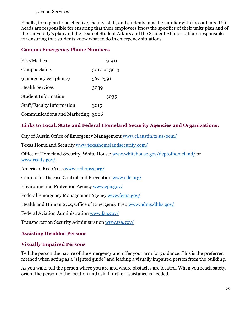#### 7. Food Services

Finally, for a plan to be effective, faculty, staff, and students must be familiar with its contents. Unit heads are responsible for ensuring that their employees know the specifics of their units plan and of the University's plan and the Dean of Student Affairs and the Student Affairs staff are responsible for ensuring that students know what to do in emergency situations.

## **Campus Emergency Phone Numbers**

| Fire/Medical                      |          | 9-911        |
|-----------------------------------|----------|--------------|
| <b>Campus Safety</b>              |          | 3010 or 3013 |
| (emergency cell phone)            | 567-2591 |              |
| <b>Health Services</b>            | 3039     |              |
| <b>Student Information</b>        |          | 3035         |
| Staff/Faculty Information         | 3015     |              |
| Communications and Marketing 3006 |          |              |

# **Links to Local, State and Federal Homeland Security Agencies and Organizations:**

City of Austin Office of Emergency Management [www.ci.austin.tx.us/oem/](http://www.ci.austin.tx.us/oem/) 

Texas Homeland Security [www.texashomelandsecurity.com/](http://www.texashomelandsecurity.com/)

Office of Homeland Security, White House: [www.whitehouse.gov/deptofhomeland/](http://www.whitehouse.gov/deptofhomeland/) or [www.ready.gov/](http://www.ready.gov/) 

American Red Cross [www.redcross.org/](http://www.redcross.org/) 

Centers for Disease Control and Prevention [www.cdc.org/](http://www.cdc.org/) 

Environmental Protection Agency [www.epa.gov/](http://www.epa.gov/) 

Federal Emergency Management Agency [www.fema.gov/](http://www.fema.gov/) 

Health and Human Svcs, Office of Emergency Prep www.ndms.dhhs.gov/

Federal Aviation Administration [www.faa.gov/](http://www.faa.gov/) 

Transportation Security Administration [www.tsa.gov/](http://www.tsa.gov/) 

# **Assisting Disabled Persons**

#### **Visually Impaired Persons**

Tell the person the nature of the emergency and offer your arm for guidance. This is the preferred method when acting as a "sighted guide" and leading a visually impaired person from the building.

As you walk, tell the person where you are and where obstacles are located. When you reach safety, orient the person to the location and ask if further assistance is needed.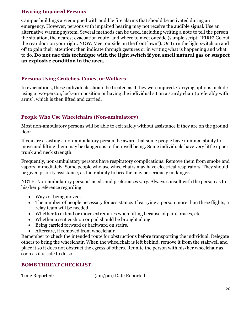# **Hearing Impaired Persons**

Campus buildings are equipped with audible fire alarms that should be activated during an emergency. However, persons with impaired hearing may not receive the audible signal. Use an alternative warning system. Several methods can be used, including writing a note to tell the person the situation, the nearest evacuation route, and where to meet outside (sample script: "FIRE! Go out the rear door on your right. NOW. Meet outside on the front lawn"). Or Turn the light switch on and off to gain their attention; then indicate through gestures or in writing what is happening and what to do. **Do not use this technique with the light switch if you smell natural gas or suspect an explosive condition in the area.** 

## **Persons Using Crutches, Canes, or Walkers**

In evacuations, these individuals should be treated as if they were injured. Carrying options include using a two-person, lock-arm position or having the individual sit on a sturdy chair (preferably with arms), which is then lifted and carried.

# **People Who Use Wheelchairs (Non-ambulatory)**

Most non-ambulatory persons will be able to exit safely without assistance if they are on the ground floor.

If you are assisting a non-ambulatory person, be aware that some people have minimal ability to move and lifting them may be dangerous to their well being. Some individuals have very little upper trunk and neck strength.

Frequently, non-ambulatory persons have respiratory complications. Remove them from smoke and vapors immediately. Some people who use wheelchairs may have electrical respirators. They should be given priority assistance, as their ability to breathe may be seriously in danger.

NOTE: Non-ambulatory persons' needs and preferences vary. Always consult with the person as to his/her preference regarding:

- Ways of being moved.
- The number of people necessary for assistance. If carrying a person more than three flights, a relay team will be needed.
- Whether to extend or move extremities when lifting because of pain, braces, etc.
- Whether a seat cushion or pad should be brought along.
- Being carried forward or backward on stairs.
- Aftercare, if removed from wheelchair.

Remember to check the intended route for obstructions before transporting the individual. Delegate others to bring the wheelchair. When the wheelchair is left behind, remove it from the stairwell and place it so it does not obstruct the egress of others. Reunite the person with his/her wheelchair as soon as it is safe to do so.

# **BOMB THREAT CHECKLIST**

Time Reported: \_\_\_\_\_\_\_\_\_\_\_\_\_\_\_\_ (am/pm) Date Reported: \_\_\_\_\_\_\_\_\_\_\_\_\_\_\_\_\_\_\_\_\_\_\_\_\_